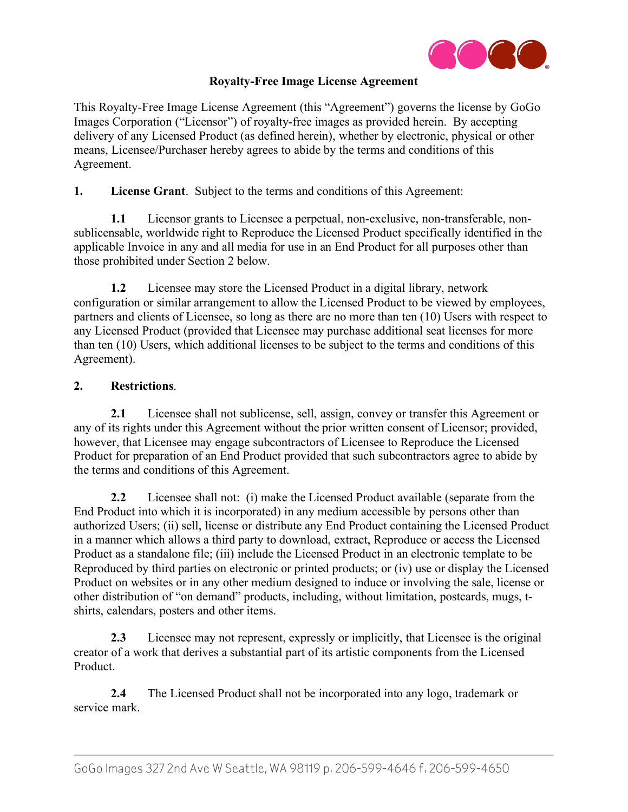

## **Royalty-Free Image License Agreement**

This Royalty-Free Image License Agreement (this "Agreement") governs the license by GoGo Images Corporation ("Licensor") of royalty-free images as provided herein. By accepting delivery of any Licensed Product (as defined herein), whether by electronic, physical or other means, Licensee/Purchaser hereby agrees to abide by the terms and conditions of this Agreement.

**1. License Grant**. Subject to the terms and conditions of this Agreement:

**1.1** Licensor grants to Licensee a perpetual, non-exclusive, non-transferable, nonsublicensable, worldwide right to Reproduce the Licensed Product specifically identified in the applicable Invoice in any and all media for use in an End Product for all purposes other than those prohibited under Section 2 below.

**1.2** Licensee may store the Licensed Product in a digital library, network configuration or similar arrangement to allow the Licensed Product to be viewed by employees, partners and clients of Licensee, so long as there are no more than ten (10) Users with respect to any Licensed Product (provided that Licensee may purchase additional seat licenses for more than ten (10) Users, which additional licenses to be subject to the terms and conditions of this Agreement).

### **2. Restrictions**.

**2.1** Licensee shall not sublicense, sell, assign, convey or transfer this Agreement or any of its rights under this Agreement without the prior written consent of Licensor; provided, however, that Licensee may engage subcontractors of Licensee to Reproduce the Licensed Product for preparation of an End Product provided that such subcontractors agree to abide by the terms and conditions of this Agreement.

**2.2** Licensee shall not: (i) make the Licensed Product available (separate from the End Product into which it is incorporated) in any medium accessible by persons other than authorized Users; (ii) sell, license or distribute any End Product containing the Licensed Product in a manner which allows a third party to download, extract, Reproduce or access the Licensed Product as a standalone file; (iii) include the Licensed Product in an electronic template to be Reproduced by third parties on electronic or printed products; or (iv) use or display the Licensed Product on websites or in any other medium designed to induce or involving the sale, license or other distribution of "on demand" products, including, without limitation, postcards, mugs, tshirts, calendars, posters and other items.

**2.3** Licensee may not represent, expressly or implicitly, that Licensee is the original creator of a work that derives a substantial part of its artistic components from the Licensed Product.

**2.4** The Licensed Product shall not be incorporated into any logo, trademark or service mark.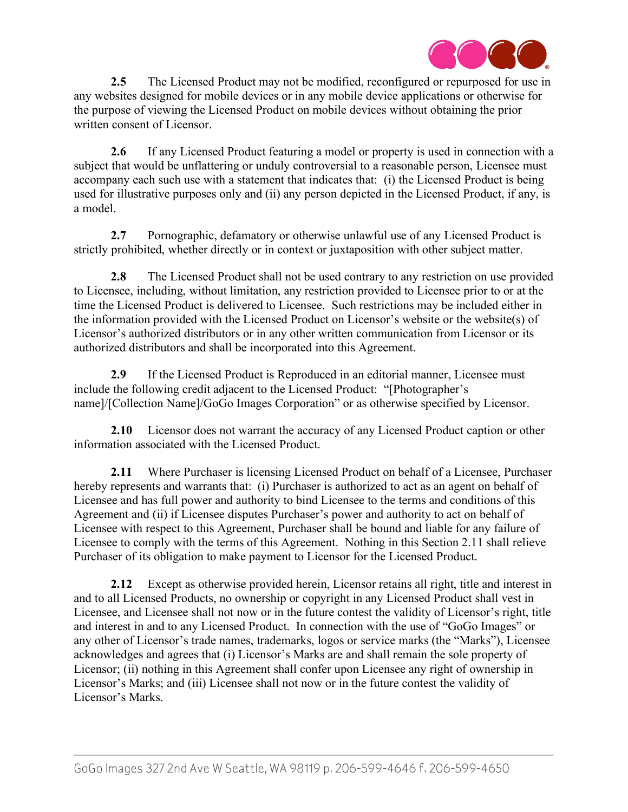

**2.5** The Licensed Product may not be modified, reconfigured or repurposed for use in any websites designed for mobile devices or in any mobile device applications or otherwise for the purpose of viewing the Licensed Product on mobile devices without obtaining the prior written consent of Licensor.

**2.6** If any Licensed Product featuring a model or property is used in connection with a subject that would be unflattering or unduly controversial to a reasonable person, Licensee must accompany each such use with a statement that indicates that: (i) the Licensed Product is being used for illustrative purposes only and (ii) any person depicted in the Licensed Product, if any, is a model.

**2.7** Pornographic, defamatory or otherwise unlawful use of any Licensed Product is strictly prohibited, whether directly or in context or juxtaposition with other subject matter.

**2.8** The Licensed Product shall not be used contrary to any restriction on use provided to Licensee, including, without limitation, any restriction provided to Licensee prior to or at the time the Licensed Product is delivered to Licensee. Such restrictions may be included either in the information provided with the Licensed Product on Licensor's website or the website(s) of Licensor's authorized distributors or in any other written communication from Licensor or its authorized distributors and shall be incorporated into this Agreement.

**2.9** If the Licensed Product is Reproduced in an editorial manner, Licensee must include the following credit adjacent to the Licensed Product: "[Photographer's name]/[Collection Name]/GoGo Images Corporation" or as otherwise specified by Licensor.

**2.10** Licensor does not warrant the accuracy of any Licensed Product caption or other information associated with the Licensed Product.

**2.11** Where Purchaser is licensing Licensed Product on behalf of a Licensee, Purchaser hereby represents and warrants that: (i) Purchaser is authorized to act as an agent on behalf of Licensee and has full power and authority to bind Licensee to the terms and conditions of this Agreement and (ii) if Licensee disputes Purchaser's power and authority to act on behalf of Licensee with respect to this Agreement, Purchaser shall be bound and liable for any failure of Licensee to comply with the terms of this Agreement. Nothing in this Section 2.11 shall relieve Purchaser of its obligation to make payment to Licensor for the Licensed Product.

**2.12** Except as otherwise provided herein, Licensor retains all right, title and interest in and to all Licensed Products, no ownership or copyright in any Licensed Product shall vest in Licensee, and Licensee shall not now or in the future contest the validity of Licensor's right, title and interest in and to any Licensed Product. In connection with the use of "GoGo Images" or any other of Licensor's trade names, trademarks, logos or service marks (the "Marks"), Licensee acknowledges and agrees that (i) Licensor's Marks are and shall remain the sole property of Licensor; (ii) nothing in this Agreement shall confer upon Licensee any right of ownership in Licensor's Marks; and (iii) Licensee shall not now or in the future contest the validity of Licensor's Marks.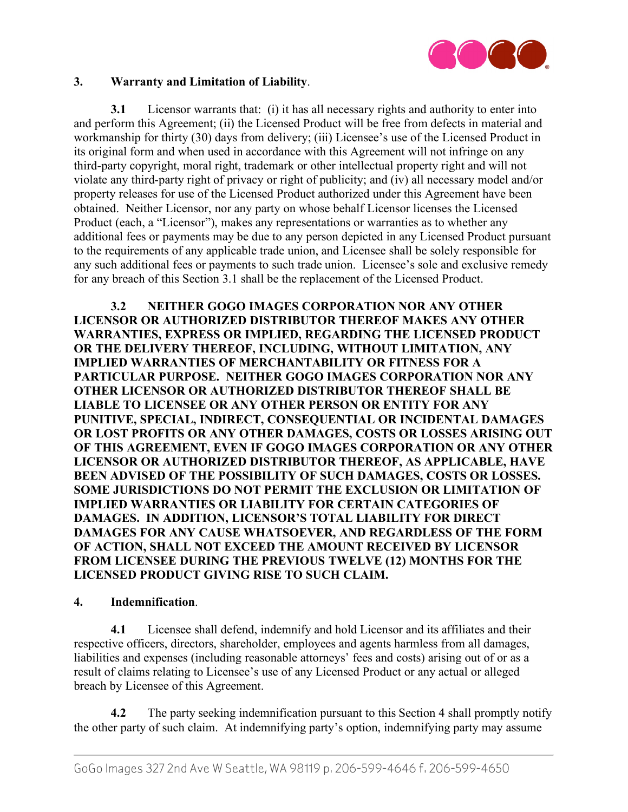

#### **3. Warranty and Limitation of Liability**.

**3.1** Licensor warrants that: (i) it has all necessary rights and authority to enter into and perform this Agreement; (ii) the Licensed Product will be free from defects in material and workmanship for thirty (30) days from delivery; (iii) Licensee's use of the Licensed Product in its original form and when used in accordance with this Agreement will not infringe on any third-party copyright, moral right, trademark or other intellectual property right and will not violate any third-party right of privacy or right of publicity; and (iv) all necessary model and/or property releases for use of the Licensed Product authorized under this Agreement have been obtained. Neither Licensor, nor any party on whose behalf Licensor licenses the Licensed Product (each, a "Licensor"), makes any representations or warranties as to whether any additional fees or payments may be due to any person depicted in any Licensed Product pursuant to the requirements of any applicable trade union, and Licensee shall be solely responsible for any such additional fees or payments to such trade union. Licensee's sole and exclusive remedy for any breach of this Section 3.1 shall be the replacement of the Licensed Product.

**3.2 NEITHER GOGO IMAGES CORPORATION NOR ANY OTHER LICENSOR OR AUTHORIZED DISTRIBUTOR THEREOF MAKES ANY OTHER WARRANTIES, EXPRESS OR IMPLIED, REGARDING THE LICENSED PRODUCT OR THE DELIVERY THEREOF, INCLUDING, WITHOUT LIMITATION, ANY IMPLIED WARRANTIES OF MERCHANTABILITY OR FITNESS FOR A PARTICULAR PURPOSE. NEITHER GOGO IMAGES CORPORATION NOR ANY OTHER LICENSOR OR AUTHORIZED DISTRIBUTOR THEREOF SHALL BE LIABLE TO LICENSEE OR ANY OTHER PERSON OR ENTITY FOR ANY PUNITIVE, SPECIAL, INDIRECT, CONSEQUENTIAL OR INCIDENTAL DAMAGES OR LOST PROFITS OR ANY OTHER DAMAGES, COSTS OR LOSSES ARISING OUT OF THIS AGREEMENT, EVEN IF GOGO IMAGES CORPORATION OR ANY OTHER LICENSOR OR AUTHORIZED DISTRIBUTOR THEREOF, AS APPLICABLE, HAVE BEEN ADVISED OF THE POSSIBILITY OF SUCH DAMAGES, COSTS OR LOSSES. SOME JURISDICTIONS DO NOT PERMIT THE EXCLUSION OR LIMITATION OF IMPLIED WARRANTIES OR LIABILITY FOR CERTAIN CATEGORIES OF DAMAGES. IN ADDITION, LICENSOR'S TOTAL LIABILITY FOR DIRECT DAMAGES FOR ANY CAUSE WHATSOEVER, AND REGARDLESS OF THE FORM OF ACTION, SHALL NOT EXCEED THE AMOUNT RECEIVED BY LICENSOR FROM LICENSEE DURING THE PREVIOUS TWELVE (12) MONTHS FOR THE LICENSED PRODUCT GIVING RISE TO SUCH CLAIM.**

#### **4. Indemnification**.

**4.1** Licensee shall defend, indemnify and hold Licensor and its affiliates and their respective officers, directors, shareholder, employees and agents harmless from all damages, liabilities and expenses (including reasonable attorneys' fees and costs) arising out of or as a result of claims relating to Licensee's use of any Licensed Product or any actual or alleged breach by Licensee of this Agreement.

**4.2** The party seeking indemnification pursuant to this Section 4 shall promptly notify the other party of such claim. At indemnifying party's option, indemnifying party may assume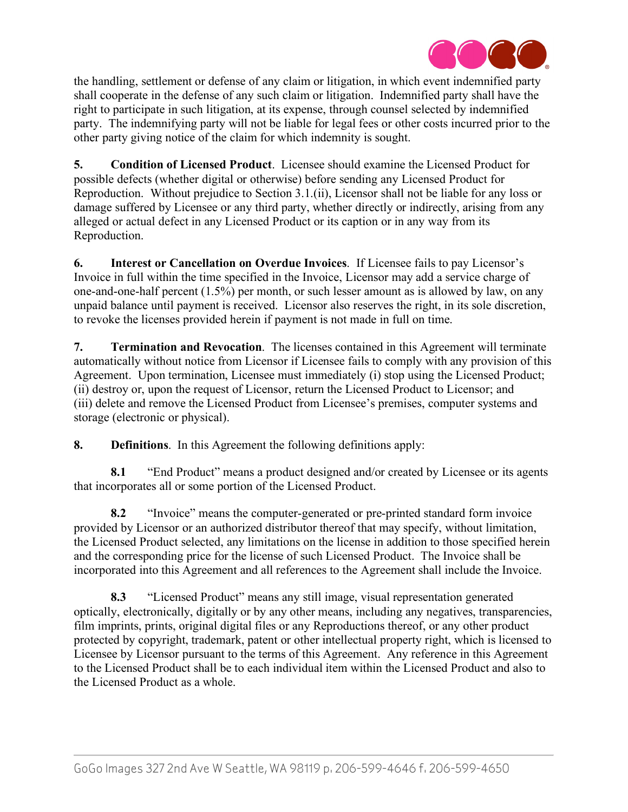

the handling, settlement or defense of any claim or litigation, in which event indemnified party shall cooperate in the defense of any such claim or litigation. Indemnified party shall have the right to participate in such litigation, at its expense, through counsel selected by indemnified party. The indemnifying party will not be liable for legal fees or other costs incurred prior to the other party giving notice of the claim for which indemnity is sought.

**5. Condition of Licensed Product**. Licensee should examine the Licensed Product for possible defects (whether digital or otherwise) before sending any Licensed Product for Reproduction. Without prejudice to Section 3.1.(ii), Licensor shall not be liable for any loss or damage suffered by Licensee or any third party, whether directly or indirectly, arising from any alleged or actual defect in any Licensed Product or its caption or in any way from its Reproduction.

**6. Interest or Cancellation on Overdue Invoices**. If Licensee fails to pay Licensor's Invoice in full within the time specified in the Invoice, Licensor may add a service charge of one-and-one-half percent (1.5%) per month, or such lesser amount as is allowed by law, on any unpaid balance until payment is received. Licensor also reserves the right, in its sole discretion, to revoke the licenses provided herein if payment is not made in full on time.

**7. Termination and Revocation**. The licenses contained in this Agreement will terminate automatically without notice from Licensor if Licensee fails to comply with any provision of this Agreement. Upon termination, Licensee must immediately (i) stop using the Licensed Product; (ii) destroy or, upon the request of Licensor, return the Licensed Product to Licensor; and (iii) delete and remove the Licensed Product from Licensee's premises, computer systems and storage (electronic or physical).

**8. Definitions**. In this Agreement the following definitions apply:

**8.1** "End Product" means a product designed and/or created by Licensee or its agents that incorporates all or some portion of the Licensed Product.

**8.2** "Invoice" means the computer-generated or pre-printed standard form invoice provided by Licensor or an authorized distributor thereof that may specify, without limitation, the Licensed Product selected, any limitations on the license in addition to those specified herein and the corresponding price for the license of such Licensed Product. The Invoice shall be incorporated into this Agreement and all references to the Agreement shall include the Invoice.

**8.3** "Licensed Product" means any still image, visual representation generated optically, electronically, digitally or by any other means, including any negatives, transparencies, film imprints, prints, original digital files or any Reproductions thereof, or any other product protected by copyright, trademark, patent or other intellectual property right, which is licensed to Licensee by Licensor pursuant to the terms of this Agreement. Any reference in this Agreement to the Licensed Product shall be to each individual item within the Licensed Product and also to the Licensed Product as a whole.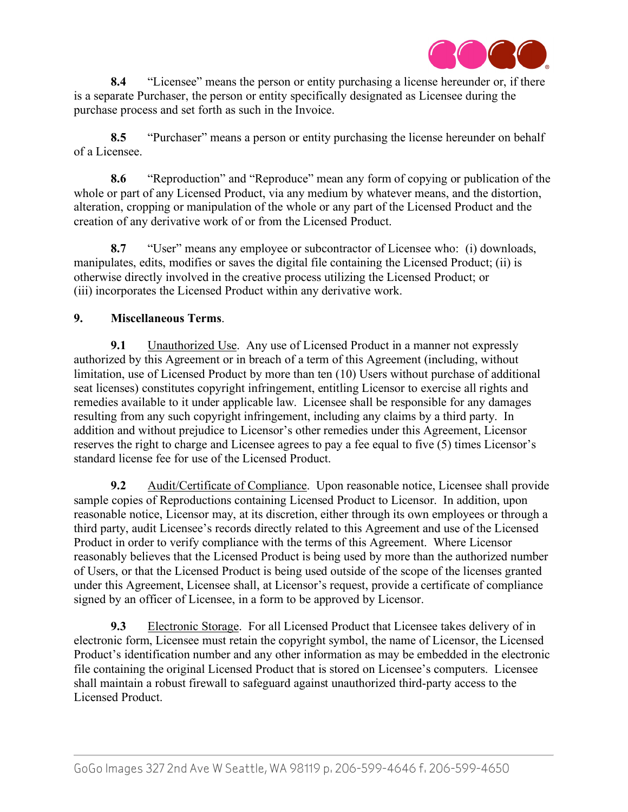

**8.4** "Licensee" means the person or entity purchasing a license hereunder or, if there is a separate Purchaser, the person or entity specifically designated as Licensee during the purchase process and set forth as such in the Invoice.

**8.5** "Purchaser" means a person or entity purchasing the license hereunder on behalf of a Licensee.

**8.6** "Reproduction" and "Reproduce" mean any form of copying or publication of the whole or part of any Licensed Product, via any medium by whatever means, and the distortion, alteration, cropping or manipulation of the whole or any part of the Licensed Product and the creation of any derivative work of or from the Licensed Product.

**8.7** "User" means any employee or subcontractor of Licensee who: (i) downloads, manipulates, edits, modifies or saves the digital file containing the Licensed Product; (ii) is otherwise directly involved in the creative process utilizing the Licensed Product; or (iii) incorporates the Licensed Product within any derivative work.

# **9. Miscellaneous Terms**.

**9.1** Unauthorized Use. Any use of Licensed Product in a manner not expressly authorized by this Agreement or in breach of a term of this Agreement (including, without limitation, use of Licensed Product by more than ten (10) Users without purchase of additional seat licenses) constitutes copyright infringement, entitling Licensor to exercise all rights and remedies available to it under applicable law. Licensee shall be responsible for any damages resulting from any such copyright infringement, including any claims by a third party. In addition and without prejudice to Licensor's other remedies under this Agreement, Licensor reserves the right to charge and Licensee agrees to pay a fee equal to five (5) times Licensor's standard license fee for use of the Licensed Product.

**9.2** Audit/Certificate of Compliance. Upon reasonable notice, Licensee shall provide sample copies of Reproductions containing Licensed Product to Licensor. In addition, upon reasonable notice, Licensor may, at its discretion, either through its own employees or through a third party, audit Licensee's records directly related to this Agreement and use of the Licensed Product in order to verify compliance with the terms of this Agreement. Where Licensor reasonably believes that the Licensed Product is being used by more than the authorized number of Users, or that the Licensed Product is being used outside of the scope of the licenses granted under this Agreement, Licensee shall, at Licensor's request, provide a certificate of compliance signed by an officer of Licensee, in a form to be approved by Licensor.

**9.3** Electronic Storage. For all Licensed Product that Licensee takes delivery of in electronic form, Licensee must retain the copyright symbol, the name of Licensor, the Licensed Product's identification number and any other information as may be embedded in the electronic file containing the original Licensed Product that is stored on Licensee's computers. Licensee shall maintain a robust firewall to safeguard against unauthorized third-party access to the Licensed Product.